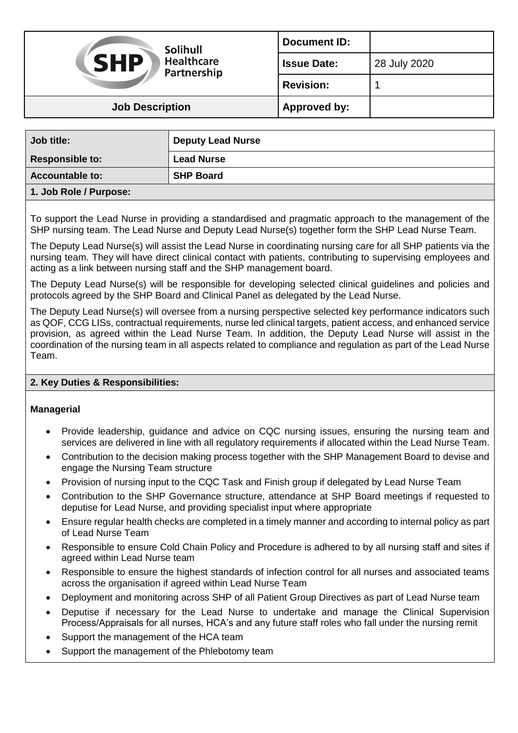| <b>Solihull</b><br><b>SHP</b><br><b>Healthcare</b><br>Partnership | <b>Document ID:</b> |              |
|-------------------------------------------------------------------|---------------------|--------------|
|                                                                   | <b>Issue Date:</b>  | 28 July 2020 |
|                                                                   | <b>Revision:</b>    |              |
| <b>Job Description</b>                                            | <b>Approved by:</b> |              |

| Job title:             | <b>Deputy Lead Nurse</b> |
|------------------------|--------------------------|
| <b>Responsible to:</b> | <b>Lead Nurse</b>        |
| <b>Accountable to:</b> | <b>SHP Board</b>         |
| 1 Joh Dolo / Durnocou  |                          |

## **1. Job Role / Purpose:**

To support the Lead Nurse in providing a standardised and pragmatic approach to the management of the SHP nursing team. The Lead Nurse and Deputy Lead Nurse(s) together form the SHP Lead Nurse Team.

The Deputy Lead Nurse(s) will assist the Lead Nurse in coordinating nursing care for all SHP patients via the nursing team. They will have direct clinical contact with patients, contributing to supervising employees and acting as a link between nursing staff and the SHP management board.

The Deputy Lead Nurse(s) will be responsible for developing selected clinical guidelines and policies and protocols agreed by the SHP Board and Clinical Panel as delegated by the Lead Nurse.

The Deputy Lead Nurse(s) will oversee from a nursing perspective selected key performance indicators such as QOF, CCG LISs, contractual requirements, nurse led clinical targets, patient access, and enhanced service provision, as agreed within the Lead Nurse Team. In addition, the Deputy Lead Nurse will assist in the coordination of the nursing team in all aspects related to compliance and regulation as part of the Lead Nurse Team.

# **2. Key Duties & Responsibilities:**

### **Managerial**

- Provide leadership, guidance and advice on CQC nursing issues, ensuring the nursing team and services are delivered in line with all regulatory requirements if allocated within the Lead Nurse Team.
- Contribution to the decision making process together with the SHP Management Board to devise and engage the Nursing Team structure
- Provision of nursing input to the CQC Task and Finish group if delegated by Lead Nurse Team
- Contribution to the SHP Governance structure, attendance at SHP Board meetings if requested to deputise for Lead Nurse, and providing specialist input where appropriate
- Ensure regular health checks are completed in a timely manner and according to internal policy as part of Lead Nurse Team
- Responsible to ensure Cold Chain Policy and Procedure is adhered to by all nursing staff and sites if agreed within Lead Nurse team
- Responsible to ensure the highest standards of infection control for all nurses and associated teams across the organisation if agreed within Lead Nurse Team
- Deployment and monitoring across SHP of all Patient Group Directives as part of Lead Nurse team
- Deputise if necessary for the Lead Nurse to undertake and manage the Clinical Supervision Process/Appraisals for all nurses, HCA's and any future staff roles who fall under the nursing remit
- Support the management of the HCA team
- Support the management of the Phlebotomy team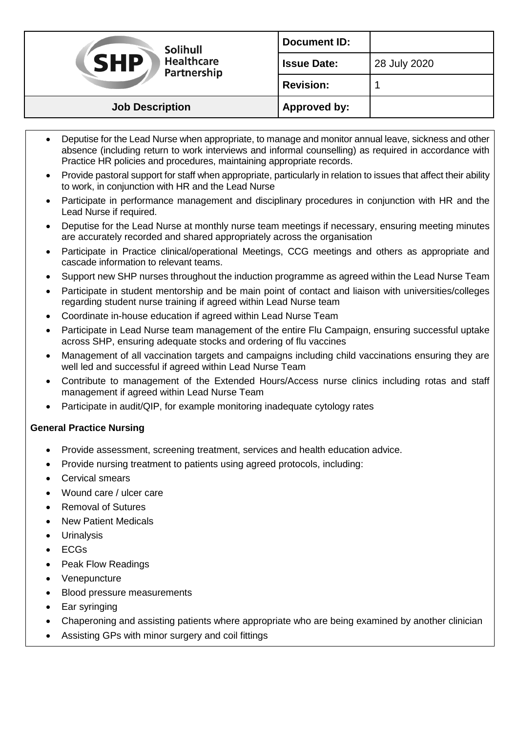| Solihull<br><b>SHP</b><br><b>Healthcare</b><br>Partnership | <b>Document ID:</b> |              |
|------------------------------------------------------------|---------------------|--------------|
|                                                            | <b>Issue Date:</b>  | 28 July 2020 |
|                                                            | <b>Revision:</b>    |              |
| <b>Job Description</b>                                     | Approved by:        |              |

- Deputise for the Lead Nurse when appropriate, to manage and monitor annual leave, sickness and other absence (including return to work interviews and informal counselling) as required in accordance with Practice HR policies and procedures, maintaining appropriate records.
- Provide pastoral support for staff when appropriate, particularly in relation to issues that affect their ability to work, in conjunction with HR and the Lead Nurse
- Participate in performance management and disciplinary procedures in conjunction with HR and the Lead Nurse if required.
- Deputise for the Lead Nurse at monthly nurse team meetings if necessary, ensuring meeting minutes are accurately recorded and shared appropriately across the organisation
- Participate in Practice clinical/operational Meetings, CCG meetings and others as appropriate and cascade information to relevant teams.
- Support new SHP nurses throughout the induction programme as agreed within the Lead Nurse Team
- Participate in student mentorship and be main point of contact and liaison with universities/colleges regarding student nurse training if agreed within Lead Nurse team
- Coordinate in-house education if agreed within Lead Nurse Team
- Participate in Lead Nurse team management of the entire Flu Campaign, ensuring successful uptake across SHP, ensuring adequate stocks and ordering of flu vaccines
- Management of all vaccination targets and campaigns including child vaccinations ensuring they are well led and successful if agreed within Lead Nurse Team
- Contribute to management of the Extended Hours/Access nurse clinics including rotas and staff management if agreed within Lead Nurse Team
- Participate in audit/QIP, for example monitoring inadequate cytology rates

# **General Practice Nursing**

- Provide assessment, screening treatment, services and health education advice.
- Provide nursing treatment to patients using agreed protocols, including:
- Cervical smears
- Wound care / ulcer care
- Removal of Sutures
- New Patient Medicals
- Urinalysis
- ECGs
- Peak Flow Readings
- Venepuncture
- Blood pressure measurements
- Ear syringing
- Chaperoning and assisting patients where appropriate who are being examined by another clinician
- Assisting GPs with minor surgery and coil fittings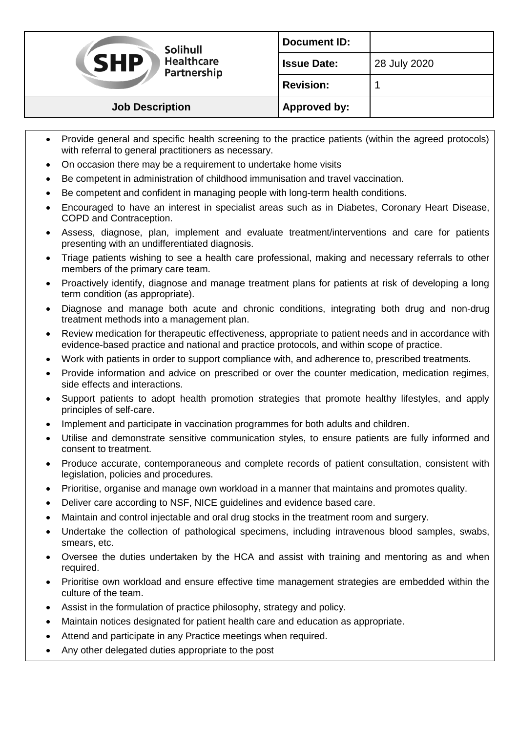| <b>Solihull</b><br><b>SHP</b><br><b>Healthcare</b><br>Partnership | <b>Document ID:</b> |              |
|-------------------------------------------------------------------|---------------------|--------------|
|                                                                   | <b>Issue Date:</b>  | 28 July 2020 |
|                                                                   | <b>Revision:</b>    |              |
| <b>Job Description</b>                                            | Approved by:        |              |

- Provide general and specific health screening to the practice patients (within the agreed protocols) with referral to general practitioners as necessary.
- On occasion there may be a requirement to undertake home visits
- Be competent in administration of childhood immunisation and travel vaccination.
- Be competent and confident in managing people with long-term health conditions.
- Encouraged to have an interest in specialist areas such as in Diabetes, Coronary Heart Disease, COPD and Contraception.
- Assess, diagnose, plan, implement and evaluate treatment/interventions and care for patients presenting with an undifferentiated diagnosis.
- Triage patients wishing to see a health care professional, making and necessary referrals to other members of the primary care team.
- Proactively identify, diagnose and manage treatment plans for patients at risk of developing a long term condition (as appropriate).
- Diagnose and manage both acute and chronic conditions, integrating both drug and non-drug treatment methods into a management plan.
- Review medication for therapeutic effectiveness, appropriate to patient needs and in accordance with evidence-based practice and national and practice protocols, and within scope of practice.
- Work with patients in order to support compliance with, and adherence to, prescribed treatments.
- Provide information and advice on prescribed or over the counter medication, medication regimes, side effects and interactions.
- Support patients to adopt health promotion strategies that promote healthy lifestyles, and apply principles of self-care.
- Implement and participate in vaccination programmes for both adults and children.
- Utilise and demonstrate sensitive communication styles, to ensure patients are fully informed and consent to treatment.
- Produce accurate, contemporaneous and complete records of patient consultation, consistent with legislation, policies and procedures.
- Prioritise, organise and manage own workload in a manner that maintains and promotes quality.
- Deliver care according to NSF, NICE guidelines and evidence based care.
- Maintain and control injectable and oral drug stocks in the treatment room and surgery.
- Undertake the collection of pathological specimens, including intravenous blood samples, swabs, smears, etc.
- Oversee the duties undertaken by the HCA and assist with training and mentoring as and when required.
- Prioritise own workload and ensure effective time management strategies are embedded within the culture of the team.
- Assist in the formulation of practice philosophy, strategy and policy.
- Maintain notices designated for patient health care and education as appropriate.
- Attend and participate in any Practice meetings when required.
- Any other delegated duties appropriate to the post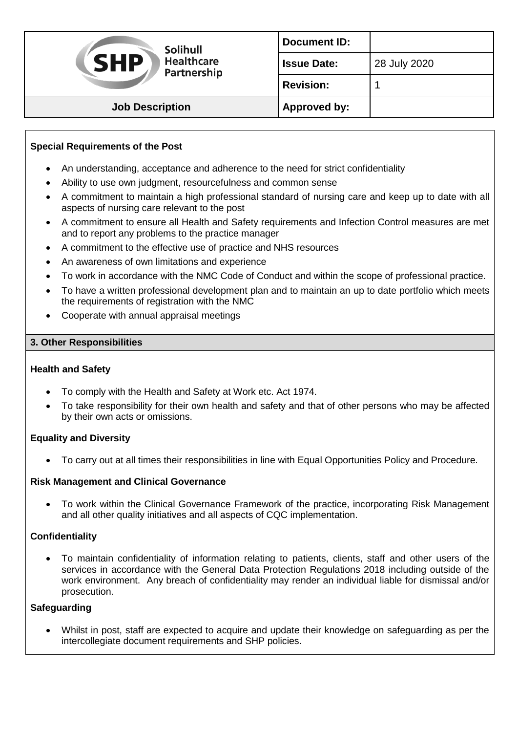| <b>Solihull</b><br><b>VSHP</b><br><b>Healthcare</b><br>Partnership | <b>Document ID:</b> |              |
|--------------------------------------------------------------------|---------------------|--------------|
|                                                                    | <b>Issue Date:</b>  | 28 July 2020 |
|                                                                    | <b>Revision:</b>    |              |
| <b>Job Description</b>                                             | <b>Approved by:</b> |              |

# **Special Requirements of the Post**

- An understanding, acceptance and adherence to the need for strict confidentiality
- Ability to use own judgment, resourcefulness and common sense
- A commitment to maintain a high professional standard of nursing care and keep up to date with all aspects of nursing care relevant to the post
- A commitment to ensure all Health and Safety requirements and Infection Control measures are met and to report any problems to the practice manager
- A commitment to the effective use of practice and NHS resources
- An awareness of own limitations and experience
- To work in accordance with the NMC Code of Conduct and within the scope of professional practice.
- To have a written professional development plan and to maintain an up to date portfolio which meets the requirements of registration with the NMC
- Cooperate with annual appraisal meetings

### **3. Other Responsibilities**

### **Health and Safety**

- To comply with the Health and Safety at Work etc. Act 1974.
- To take responsibility for their own health and safety and that of other persons who may be affected by their own acts or omissions.

### **Equality and Diversity**

To carry out at all times their responsibilities in line with Equal Opportunities Policy and Procedure.

### **Risk Management and Clinical Governance**

 To work within the Clinical Governance Framework of the practice, incorporating Risk Management and all other quality initiatives and all aspects of CQC implementation.

### **Confidentiality**

 To maintain confidentiality of information relating to patients, clients, staff and other users of the services in accordance with the General Data Protection Regulations 2018 including outside of the work environment. Any breach of confidentiality may render an individual liable for dismissal and/or prosecution.

### **Safeguarding**

 Whilst in post, staff are expected to acquire and update their knowledge on safeguarding as per the intercollegiate document requirements and SHP policies.